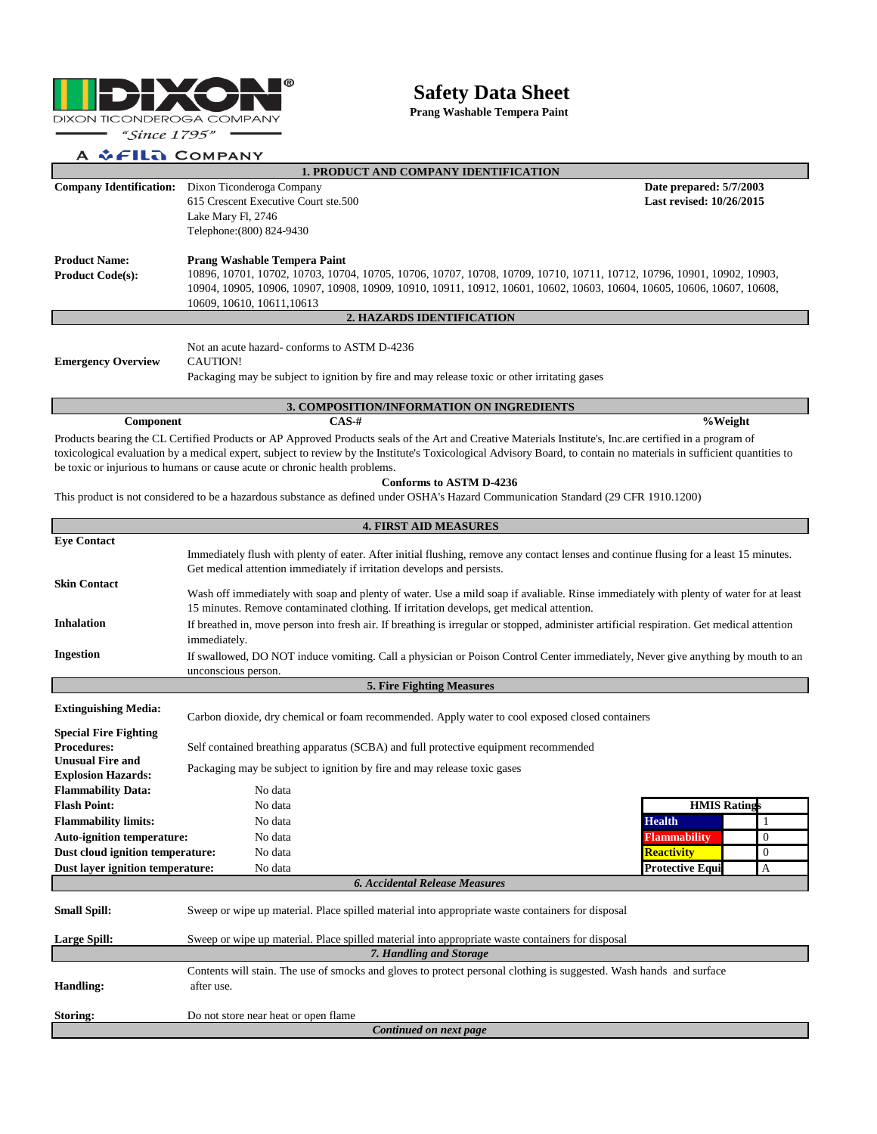

## **Safety Data Sheet**

**Prang Washable Tempera Paint**

## A & FILA COMPANY

**Component**

| <b>1. PRODUCT AND COMPANY IDENTIFICATION</b> |                                                                                                                        |                          |  |  |  |  |
|----------------------------------------------|------------------------------------------------------------------------------------------------------------------------|--------------------------|--|--|--|--|
| <b>Company Identification:</b>               | Dixon Ticonderoga Company                                                                                              | Date prepared: 5/7/2003  |  |  |  |  |
|                                              | 615 Crescent Executive Court ste.500                                                                                   | Last revised: 10/26/2015 |  |  |  |  |
|                                              | Lake Mary Fl, 2746                                                                                                     |                          |  |  |  |  |
|                                              | Telephone: (800) 824-9430                                                                                              |                          |  |  |  |  |
| <b>Product Name:</b>                         | Prang Washable Tempera Paint                                                                                           |                          |  |  |  |  |
| <b>Product Code(s):</b>                      | 10896, 10701, 10702, 10703, 10704, 10705, 10706, 10707, 10708, 10709, 10710, 10711, 10712, 10796, 10901, 10902, 10903, |                          |  |  |  |  |
|                                              | 10904, 10905, 10906, 10907, 10908, 10909, 10910, 10911, 10912, 10601, 10602, 10603, 10604, 10605, 10606, 10607, 10608, |                          |  |  |  |  |
|                                              | 10609, 10610, 10611, 10613                                                                                             |                          |  |  |  |  |
| 2. HAZARDS IDENTIFICATION                    |                                                                                                                        |                          |  |  |  |  |
|                                              |                                                                                                                        |                          |  |  |  |  |
|                                              | Not an acute hazard-conforms to ASTM D-4236                                                                            |                          |  |  |  |  |
| <b>Emergency Overview</b>                    | CAUTION!                                                                                                               |                          |  |  |  |  |
|                                              | Packaging may be subject to ignition by fire and may release toxic or other irritating gases                           |                          |  |  |  |  |

**3. COMPOSITION/INFORMATION ON INGREDIENTS**

**%Weight**

Products bearing the CL Certified Products or AP Approved Products seals of the Art and Creative Materials Institute's, Inc.are certified in a program of toxicological evaluation by a medical expert, subject to review by the Institute's Toxicological Advisory Board, to contain no materials in sufficient quantities to be toxic or injurious to humans or cause acute or chronic health problems.

## **Conforms to ASTM D-4236**

This product is not considered to be a hazardous substance as defined under OSHA's Hazard Communication Standard (29 CFR 1910.1200)

**CAS-#**

| <b>4. FIRST AID MEASURES</b>                  |                                                                                                                                            |                        |              |  |  |  |
|-----------------------------------------------|--------------------------------------------------------------------------------------------------------------------------------------------|------------------------|--------------|--|--|--|
| <b>Eye Contact</b>                            |                                                                                                                                            |                        |              |  |  |  |
|                                               | Immediately flush with plenty of eater. After initial flushing, remove any contact lenses and continue flusing for a least 15 minutes.     |                        |              |  |  |  |
|                                               | Get medical attention immediately if irritation develops and persists.                                                                     |                        |              |  |  |  |
| <b>Skin Contact</b>                           | Wash off immediately with soap and plenty of water. Use a mild soap if avaliable. Rinse immediately with plenty of water for at least      |                        |              |  |  |  |
|                                               | 15 minutes. Remove contaminated clothing. If irritation develops, get medical attention.                                                   |                        |              |  |  |  |
| <b>Inhalation</b>                             | If breathed in, move person into fresh air. If breathing is irregular or stopped, administer artificial respiration. Get medical attention |                        |              |  |  |  |
|                                               | immediately.                                                                                                                               |                        |              |  |  |  |
| <b>Ingestion</b>                              | If swallowed, DO NOT induce vomiting. Call a physician or Poison Control Center immediately, Never give anything by mouth to an            |                        |              |  |  |  |
|                                               | unconscious person.                                                                                                                        |                        |              |  |  |  |
|                                               | 5. Fire Fighting Measures                                                                                                                  |                        |              |  |  |  |
| <b>Extinguishing Media:</b>                   |                                                                                                                                            |                        |              |  |  |  |
|                                               | Carbon dioxide, dry chemical or foam recommended. Apply water to cool exposed closed containers                                            |                        |              |  |  |  |
| <b>Special Fire Fighting</b>                  |                                                                                                                                            |                        |              |  |  |  |
| <b>Procedures:</b><br><b>Unusual Fire and</b> | Self contained breathing apparatus (SCBA) and full protective equipment recommended                                                        |                        |              |  |  |  |
| <b>Explosion Hazards:</b>                     | Packaging may be subject to ignition by fire and may release toxic gases                                                                   |                        |              |  |  |  |
| <b>Flammability Data:</b>                     | No data                                                                                                                                    |                        |              |  |  |  |
| <b>Flash Point:</b>                           | No data                                                                                                                                    | <b>HMIS Ratings</b>    |              |  |  |  |
| <b>Flammability limits:</b>                   | No data                                                                                                                                    | <b>Health</b>          |              |  |  |  |
| <b>Auto-ignition temperature:</b>             | No data                                                                                                                                    | <b>Flammability</b>    | $\theta$     |  |  |  |
| Dust cloud ignition temperature:              | No data                                                                                                                                    | <b>Reactivity</b>      | $\mathbf{0}$ |  |  |  |
| Dust layer ignition temperature:              | No data                                                                                                                                    | <b>Protective Equi</b> | A            |  |  |  |
|                                               | <b>6. Accidental Release Measures</b>                                                                                                      |                        |              |  |  |  |
|                                               |                                                                                                                                            |                        |              |  |  |  |
| <b>Small Spill:</b>                           | Sweep or wipe up material. Place spilled material into appropriate waste containers for disposal                                           |                        |              |  |  |  |
| <b>Large Spill:</b>                           | Sweep or wipe up material. Place spilled material into appropriate waste containers for disposal                                           |                        |              |  |  |  |
|                                               | 7. Handling and Storage                                                                                                                    |                        |              |  |  |  |
|                                               | Contents will stain. The use of smocks and gloves to protect personal clothing is suggested. Wash hands and surface                        |                        |              |  |  |  |
| <b>Handling:</b>                              |                                                                                                                                            |                        |              |  |  |  |
|                                               | after use.                                                                                                                                 |                        |              |  |  |  |
| Storing:                                      | Do not store near heat or open flame                                                                                                       |                        |              |  |  |  |
| Continued on next page                        |                                                                                                                                            |                        |              |  |  |  |